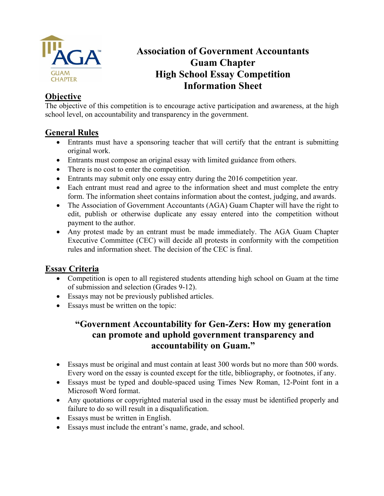

# **Association of Government Accountants Guam Chapter High School Essay Competition Information Sheet**

## **Objective**

The objective of this competition is to encourage active participation and awareness, at the high school level, on accountability and transparency in the government.

## **General Rules**

- Entrants must have a sponsoring teacher that will certify that the entrant is submitting original work.
- Entrants must compose an original essay with limited guidance from others.
- There is no cost to enter the competition.
- Entrants may submit only one essay entry during the 2016 competition year.
- Each entrant must read and agree to the information sheet and must complete the entry form. The information sheet contains information about the contest, judging, and awards.
- The Association of Government Accountants (AGA) Guam Chapter will have the right to edit, publish or otherwise duplicate any essay entered into the competition without payment to the author.
- Any protest made by an entrant must be made immediately. The AGA Guam Chapter Executive Committee (CEC) will decide all protests in conformity with the competition rules and information sheet. The decision of the CEC is final.

### **Essay Criteria**

- Competition is open to all registered students attending high school on Guam at the time of submission and selection (Grades 9-12).
- Essays may not be previously published articles.
- Essays must be written on the topic:

## **"Government Accountability for Gen-Zers: How my generation can promote and uphold government transparency and accountability on Guam."**

- Essays must be original and must contain at least 300 words but no more than 500 words. Every word on the essay is counted except for the title, bibliography, or footnotes, if any.
- Essays must be typed and double-spaced using Times New Roman, 12-Point font in a Microsoft Word format.
- Any quotations or copyrighted material used in the essay must be identified properly and failure to do so will result in a disqualification.
- Essays must be written in English.
- Essays must include the entrant's name, grade, and school.